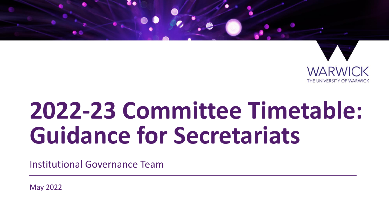

# **2022-23 Committee Timetable: Guidance for Secretariats**

Institutional Governance Team

May 2022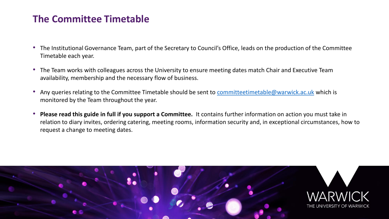#### **The Committee Timetable**

- The Institutional Governance Team, part of the Secretary to Council's Office, leads on the production of the Committee Timetable each year.
- The Team works with colleagues across the University to ensure meeting dates match Chair and Executive Team availability, membership and the necessary flow of business.
- Any queries relating to the Committee Timetable should be sent to [committeetimetable@warwick.ac.uk](mailto:committeetimetable@warwick.ac.uk) which is monitored by the Team throughout the year.
- **Please read this guide in full if you support a Committee.** It contains further information on action you must take in relation to diary invites, ordering catering, meeting rooms, information security and, in exceptional circumstances, how to request a change to meeting dates.

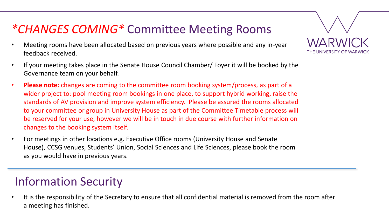#### *\*CHANGES COMING\** Committee Meeting Rooms

- Meeting rooms have been allocated based on previous years where possible and any in-year feedback received.
- If your meeting takes place in the Senate House Council Chamber/ Foyer it will be booked by the Governance team on your behalf.
- **Please note:** changes are coming to the committee room booking system/process, as part of a wider project to: pool meeting room bookings in one place, to support hybrid working, raise the standards of AV provision and improve system efficiency. Please be assured the rooms allocated to your committee or group in University House as part of the Committee Timetable process will be reserved for your use, however we will be in touch in due course with further information on changes to the booking system itself.
- For meetings in other locations e.g. Executive Office rooms (University House and Senate House), CCSG venues, Students' Union, Social Sciences and Life Sciences, please book the room as you would have in previous years.

### Information Security

• It is the responsibility of the Secretary to ensure that all confidential material is removed from the room after a meeting has finished.

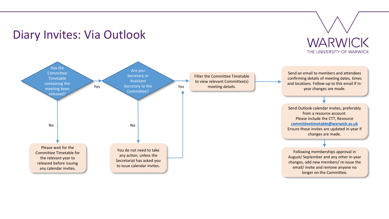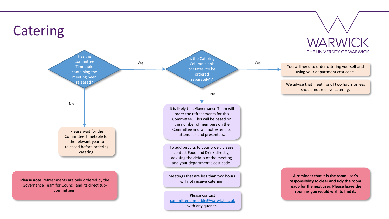